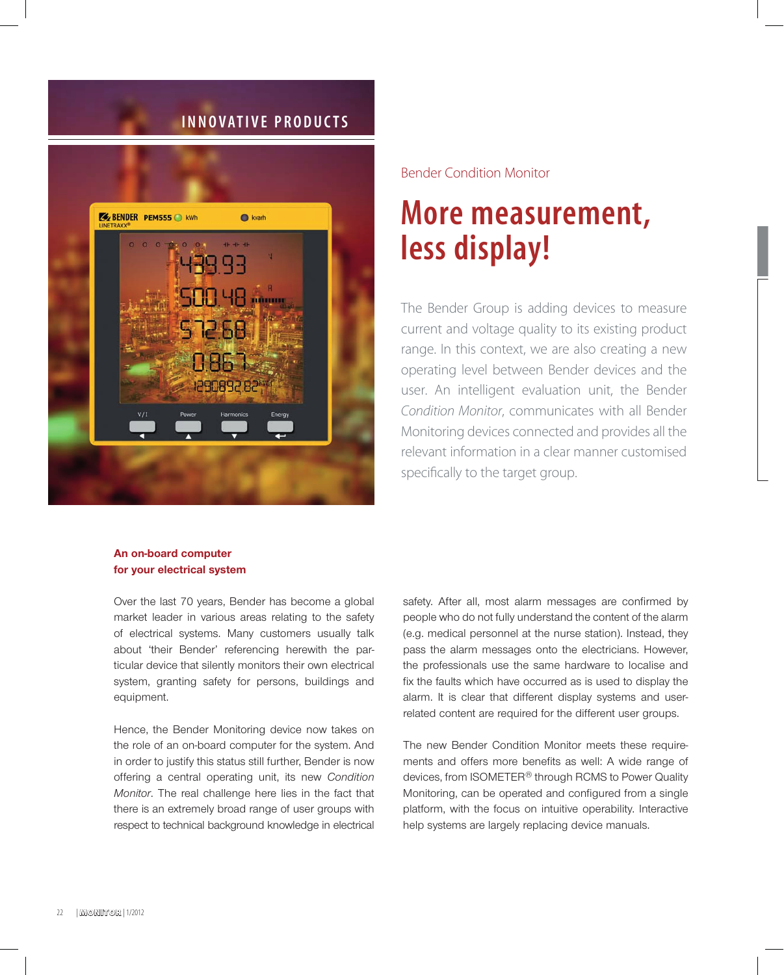# **INNOVATIVE PRODUCTS**



# Bender Condition Monitor

# **More measurement, less display!**

The Bender Group is adding devices to measure current and voltage quality to its existing product range. In this context, we are also creating a new operating level between Bender devices and the user. An intelligent evaluation unit, the Bender *Condition Monitor*, communicates with all Bender Monitoring devices connected and provides all the relevant information in a clear manner customised specifically to the target group.

## **An on-board computer for your electrical system**

Over the last 70 years, Bender has become a global market leader in various areas relating to the safety of electrical systems. Many customers usually talk about 'their Bender' referencing herewith the particular device that silently monitors their own electrical system, granting safety for persons, buildings and equipment.

Hence, the Bender Monitoring device now takes on the role of an on-board computer for the system. And in order to justify this status still further, Bender is now offering a central operating unit, its new *Condition Monitor*. The real challenge here lies in the fact that there is an extremely broad range of user groups with respect to technical background knowledge in electrical safety. After all, most alarm messages are confirmed by people who do not fully understand the content of the alarm (e.g. medical personnel at the nurse station). Instead, they pass the alarm messages onto the electricians. However, the professionals use the same hardware to localise and fix the faults which have occurred as is used to displav the alarm. It is clear that different display systems and userrelated content are required for the different user groups.

The new Bender Condition Monitor meets these requirements and offers more benefits as well: A wide range of devices, from ISOMETER® through RCMS to Power Quality Monitoring, can be operated and configured from a single platform, with the focus on intuitive operability. Interactive help systems are largely replacing device manuals.